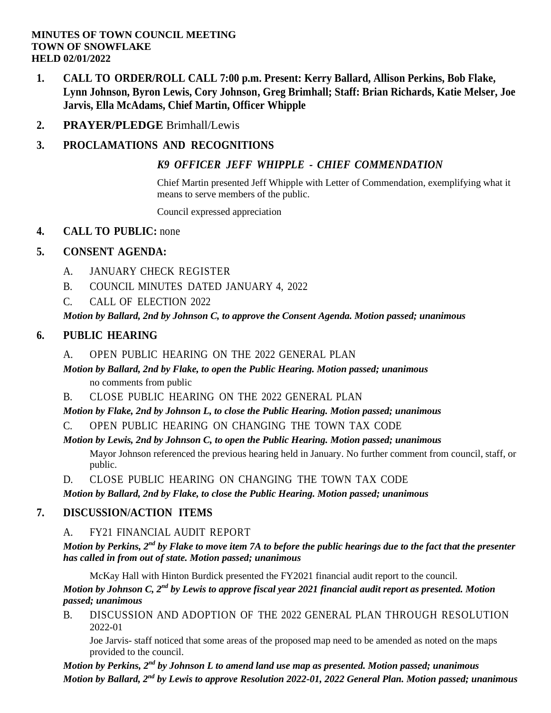#### **MINUTES OF TOWN COUNCIL MEETING TOWN OF SNOWFLAKE HELD 02/01/2022**

- **1. CALL TO ORDER/ROLL CALL 7:00 p.m. Present: Kerry Ballard, Allison Perkins, Bob Flake, Lynn Johnson, Byron Lewis, Cory Johnson, Greg Brimhall; Staff: Brian Richards, Katie Melser, Joe Jarvis, Ella McAdams, Chief Martin, Officer Whipple**
- **2. PRAYER/PLEDGE** Brimhall/Lewis

# **3. PROCLAMATIONS AND RECOGNITIONS**

## *K9 OFFICER JEFF WHIPPLE - CHIEF [COMMENDATION](file:///C:/Windows/TEMP/CoverSheet.aspx)*

Chief Martin presented Jeff Whipple with Letter of Commendation, exemplifying what it means to serve members of the public.

Council expressed appreciation

## **4. CALL TO PUBLIC:** none

## **5. CONSENT AGENDA:**

- A. JANUARY CHECK [REGISTER](file:///C:/Windows/TEMP/CoverSheet.aspx)
- B. COUNCIL MINUTES DATED [JANUARY](file:///C:/Windows/TEMP/CoverSheet.aspx) 4, 2022
- C. CALL OF [ELECTION](file:///C:/Windows/TEMP/CoverSheet.aspx) 2022

*Motion by Ballard, 2nd by Johnson C, to approve the Consent Agenda. Motion passed; unanimous*

# **6. PUBLIC HEARING**

- A. OPEN PUBLIC HEARING ON THE 2022 [GENERAL](file:///C:/Windows/TEMP/CoverSheet.aspx) PLAN
- *Motion by Ballard, 2nd by Flake, to open the Public Hearing. Motion passed; unanimous* no comments from public
- B. CLOSE PUBLIC HEARING ON THE 2022 [GENERAL](file:///C:/Windows/TEMP/CoverSheet.aspx) PLAN

*Motion by Flake, 2nd by Johnson L, to close the Public Hearing. Motion passed; unanimous*

C. OPEN PUBLIC HEARING ON [CHANGING](file:///C:/Windows/TEMP/CoverSheet.aspx) THE TOWN TAX CODE

## *Motion by Lewis, 2nd by Johnson C, to open the Public Hearing. Motion passed; unanimous*

Mayor Johnson referenced the previous hearing held in January. No further comment from council, staff, or public.

D. CLOSE PUBLIC HEARING ON [CHANGING](file:///C:/Windows/TEMP/CoverSheet.aspx) THE TOWN TAX CODE

*Motion by Ballard, 2nd by Flake, to close the Public Hearing. Motion passed; unanimous*

## **7. DISCUSSION/ACTION ITEMS**

A. FY21 [FINANCIAL](file:///C:/Windows/TEMP/CoverSheet.aspx) AUDIT REPORT

*Motion by Perkins, 2nd by Flake to move item 7A to before the public hearings due to the fact that the presenter has called in from out of state. Motion passed; unanimous*

McKay Hall with Hinton Burdick presented the FY2021 financial audit report to the council.

*Motion by Johnson C, 2nd by Lewis to approve fiscal year 2021 financial audit report as presented. Motion passed; unanimous*

B. DISCUSSION AND ADOPTION OF THE 2022 GENERAL PLAN THROUGH [RESOLUTION](file:///C:/Windows/TEMP/CoverSheet.aspx) 2022-01

Joe Jarvis- staff noticed that some areas of the proposed map need to be amended as noted on the maps provided to the council.

*Motion by Perkins, 2nd by Johnson L to amend land use map as presented. Motion passed; unanimous Motion by Ballard, 2nd by Lewis to approve Resolution 2022-01, 2022 General Plan. Motion passed; unanimous*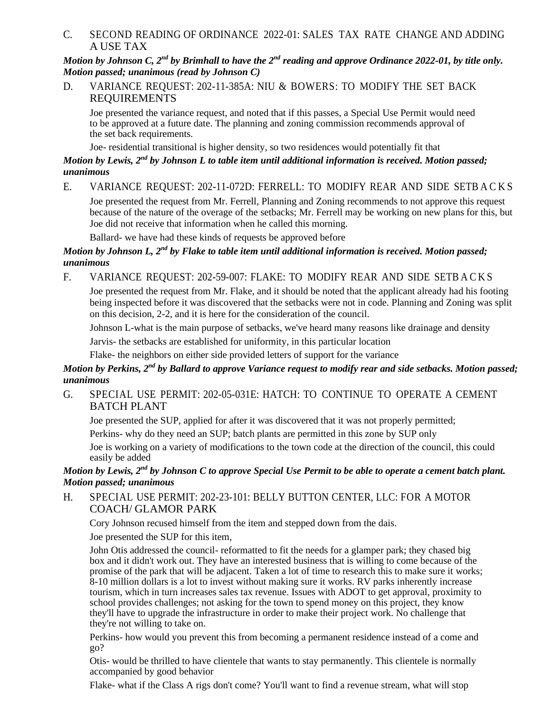C. SECOND READING OF ORDINANCE 2022-01: SALES TAX RATE [CHANGE AND ADDING](file:///C:/Windows/TEMP/CoverSheet.aspx) A USE [TAX](file:///C:/Windows/TEMP/CoverSheet.aspx)

*Motion by Johnson C, 2nd by Brimhall to have the 2nd reading and approve Ordinance 2022-01, by title only. Motion passed; unanimous (read by Johnson C)*

D. VARIANCE REQUEST: [202-11-385A:](file:///C:/Windows/TEMP/CoverSheet.aspx) NIU & BOWERS: TO MODIFY THE SET BACK [REQUIREMENTS](file:///C:/Windows/TEMP/CoverSheet.aspx)

Joe presented the variance request, and noted that if this passes, a Special Use Permit would need to be approved at a future date. The planning and zoning commission recommends approval of the set back requirements.

Joe- residential transitional is higher density, so two residences would potentially fit that

#### *Motion by Lewis, 2nd by Johnson L to table item until additional information is received. Motion passed; unanimous*

E. VARIANCE REQUEST: 202-11-072D: FERRELL: TO MODIFY REAR AND SIDE [SETB A C K S](file:///C:/Windows/TEMP/CoverSheet.aspx)

Joe presented the request from Mr. Ferrell, Planning and Zoning recommends to not approve this request because of the nature of the overage of the setbacks; Mr. Ferrell may be working on new plans for this, but Joe did not receive that information when he called this morning.

Ballard- we have had these kinds of requests be approved before

#### *Motion by Johnson L, 2nd by Flake to table item until additional information is received. Motion passed; unanimous*

F. VARIANCE REQUEST: 202-59-007: FLAKE: TO MODIFY REAR AND SIDE [SETB A C K S](file:///C:/Windows/TEMP/CoverSheet.aspx)

Joe presented the request from Mr. Flake, and it should be noted that the applicant already had his footing being inspected before it was discovered that the setbacks were not in code. Planning and Zoning was split on this decision, 2-2, and it is here for the consideration of the council.

Johnson L-what is the main purpose of setbacks, we've heard many reasons like drainage and density Jarvis- the setbacks are established for uniformity, in this particular location

Flake- the neighbors on either side provided letters of support for the variance

#### *Motion by Perkins, 2nd by Ballard to approve Variance request to modify rear and side setbacks. Motion passed; unanimous*

G. SPECIAL USE PERMIT: [202-05-031E:](file:///C:/Windows/TEMP/CoverSheet.aspx) HATCH: TO CONTINUE TO OPERATE A CEMENT [BATCH PLANT](file:///C:/Windows/TEMP/CoverSheet.aspx)

Joe presented the SUP, applied for after it was discovered that it was not properly permitted;

Perkins- why do they need an SUP; batch plants are permitted in this zone by SUP only

Joe is working on a variety of modifications to the town code at the direction of the council, this could easily be added

#### *Motion by Lewis, 2nd by Johnson C to approve Special Use Permit to be able to operate a cement batch plant. Motion passed; unanimous*

H. SPECIAL USE [PERMIT: 202-23-101: BELLY BUTTON](file:///C:/Windows/TEMP/CoverSheet.aspx) CENTER, LLC: FOR A MOTOR COACH/ [GLAMOR](file:///C:/Windows/TEMP/CoverSheet.aspx) PARK

Cory Johnson recused himself from the item and stepped down from the dais.

Joe presented the SUP for this item,

John Otis addressed the council- reformatted to fit the needs for a glamper park; they chased big box and it didn't work out. They have an interested business that is willing to come because of the promise of the park that will be adjacent. Taken a lot of time to research this to make sure it works; 8-10 million dollars is a lot to invest without making sure it works. RV parks inherently increase tourism, which in turn increases sales tax revenue. Issues with ADOT to get approval, proximity to school provides challenges; not asking for the town to spend money on this project, they know they'll have to upgrade the infrastructure in order to make their project work. No challenge that they're not willing to take on.

Perkins- how would you prevent this from becoming a permanent residence instead of a come and go?

Otis- would be thrilled to have clientele that wants to stay permanently. This clientele is normally accompanied by good behavior

Flake- what if the Class A rigs don't come? You'll want to find a revenue stream, what will stop